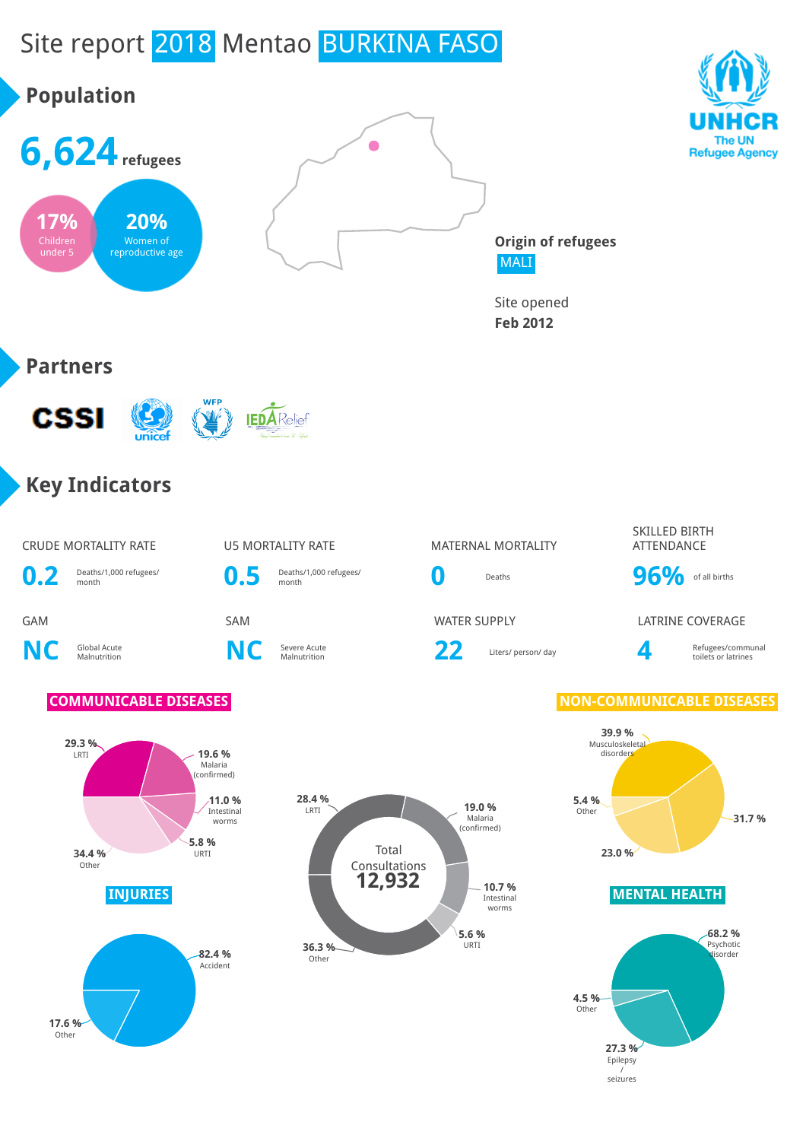# Site report 2018 Mentao BURKINA FASO

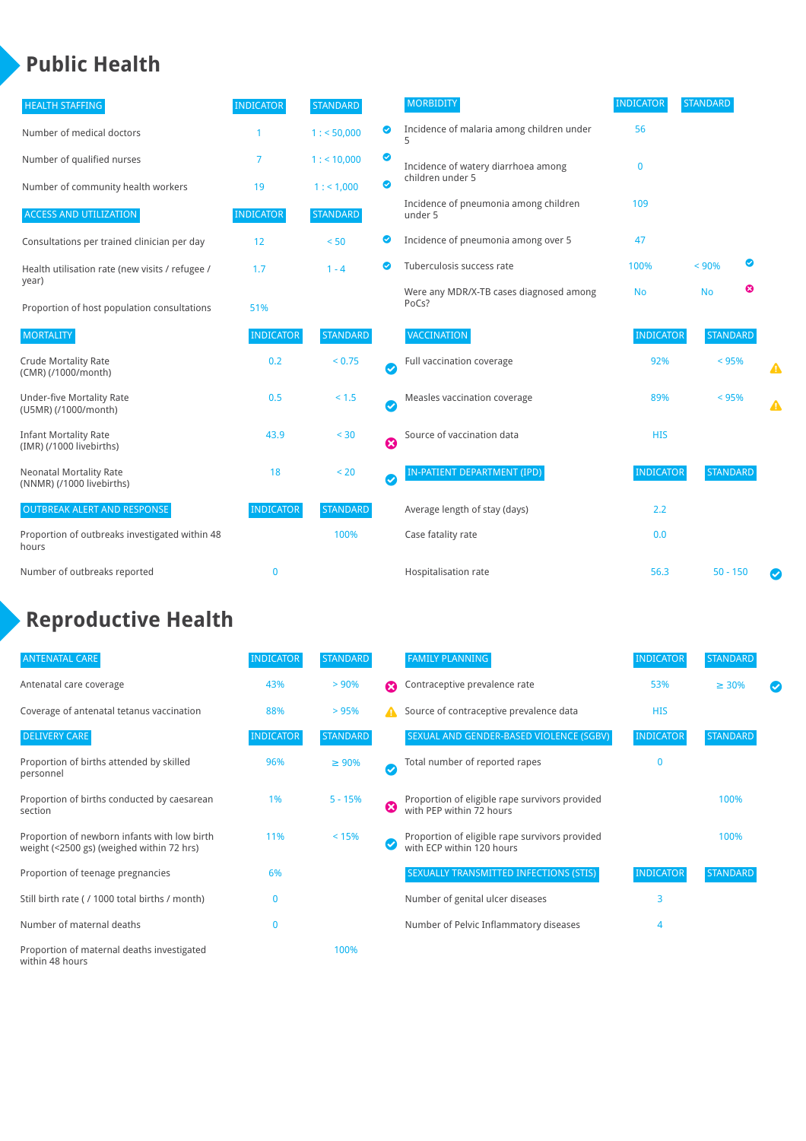### **Public Health**

| <b>HEALTH STAFFING</b>                                      | <b>INDICATOR</b> | <b>STANDARD</b> |           | <b>MORBIDITY</b>                                 | <b>INDICATOR</b> | <b>STANDARD</b> |   |
|-------------------------------------------------------------|------------------|-----------------|-----------|--------------------------------------------------|------------------|-----------------|---|
| Number of medical doctors                                   |                  | 1: 50,000       | ◙         | Incidence of malaria among children under        | 56               |                 |   |
| Number of qualified nurses                                  | 7                | 1:10,000        | ◙         | Incidence of watery diarrhoea among              | $\mathbf 0$      |                 |   |
| Number of community health workers                          | 19               | 1: 1,000        | ◙         | children under 5                                 |                  |                 |   |
| <b>ACCESS AND UTILIZATION</b>                               | <b>INDICATOR</b> | <b>STANDARD</b> |           | Incidence of pneumonia among children<br>under 5 | 109              |                 |   |
| Consultations per trained clinician per day                 | 12               | < 50            | ◙         | Incidence of pneumonia among over 5              | 47               |                 |   |
| Health utilisation rate (new visits / refugee /             | 1.7              | $1 - 4$         | ల         | Tuberculosis success rate                        | 100%             | ◙<br>< 90%      |   |
| year)<br>Proportion of host population consultations        | 51%              |                 |           | Were any MDR/X-TB cases diagnosed among<br>PoCs? | <b>No</b>        | ☺<br><b>No</b>  |   |
| <b>MORTALITY</b>                                            | <b>INDICATOR</b> | <b>STANDARD</b> |           | VACCINATION                                      | <b>INDICATOR</b> | <b>STANDARD</b> |   |
| <b>Crude Mortality Rate</b><br>(CMR) (/1000/month)          | 0.2              | < 0.75          | $\bullet$ | Full vaccination coverage                        | 92%              | $< 95\%$        | ▲ |
| <b>Under-five Mortality Rate</b><br>(U5MR) (/1000/month)    | 0.5              | < 1.5           | Ø         | Measles vaccination coverage                     | 89%              | $< 95\%$        | ▲ |
| <b>Infant Mortality Rate</b><br>(IMR) (/1000 livebirths)    | 43.9             | < 30            | 0         | Source of vaccination data                       | <b>HIS</b>       |                 |   |
| <b>Neonatal Mortality Rate</b><br>(NNMR) (/1000 livebirths) | 18               | < 20            | $\bullet$ | <b>IN-PATIENT DEPARTMENT (IPD)</b>               | <b>INDICATOR</b> | <b>STANDARD</b> |   |
| <b>OUTBREAK ALERT AND RESPONSE</b>                          | <b>INDICATOR</b> | <b>STANDARD</b> |           | Average length of stay (days)                    | 2.2              |                 |   |
| Proportion of outbreaks investigated within 48<br>hours     |                  | 100%            |           | Case fatality rate                               | 0.0              |                 |   |
| Number of outbreaks reported                                | $\mathbf 0$      |                 |           | Hospitalisation rate                             | 56.3             | $50 - 150$      |   |

## **Reproductive Health**

| <b>ANTENATAL CARE</b>                                                                     | <b>INDICATOR</b> | <b>STANDARD</b> |   | <b>FAMILY PLANNING</b>                                                      | <b>INDICATOR</b> | <b>STANDARD</b> |  |
|-------------------------------------------------------------------------------------------|------------------|-----------------|---|-----------------------------------------------------------------------------|------------------|-----------------|--|
| Antenatal care coverage                                                                   | 43%              | > 90%           | Ω | Contraceptive prevalence rate                                               | 53%              | $\geq 30\%$     |  |
| Coverage of antenatal tetanus vaccination                                                 | 88%              | >95%            |   | Source of contraceptive prevalence data                                     | <b>HIS</b>       |                 |  |
| <b>DELIVERY CARE</b>                                                                      | <b>INDICATOR</b> | <b>STANDARD</b> |   | SEXUAL AND GENDER-BASED VIOLENCE (SGBV)                                     | <b>INDICATOR</b> | <b>STANDARD</b> |  |
| Proportion of births attended by skilled<br>personnel                                     | 96%              | $\geq 90\%$     |   | Total number of reported rapes                                              | 0                |                 |  |
| Proportion of births conducted by caesarean<br>section                                    | 1%               | $5 - 15%$       | ೞ | Proportion of eligible rape survivors provided<br>with PEP within 72 hours  |                  | 100%            |  |
| Proportion of newborn infants with low birth<br>weight (<2500 gs) (weighed within 72 hrs) | 11%              | < 15%           |   | Proportion of eligible rape survivors provided<br>with ECP within 120 hours |                  | 100%            |  |
| Proportion of teenage pregnancies                                                         | 6%               |                 |   | SEXUALLY TRANSMITTED INFECTIONS (STIS)                                      | <b>INDICATOR</b> | <b>STANDARD</b> |  |
| Still birth rate (/ 1000 total births / month)                                            |                  |                 |   | Number of genital ulcer diseases                                            | 3                |                 |  |
| Number of maternal deaths                                                                 | 0                |                 |   | Number of Pelvic Inflammatory diseases                                      | 4                |                 |  |
| Proportion of maternal deaths investigated<br>within 48 hours                             |                  | 100%            |   |                                                                             |                  |                 |  |